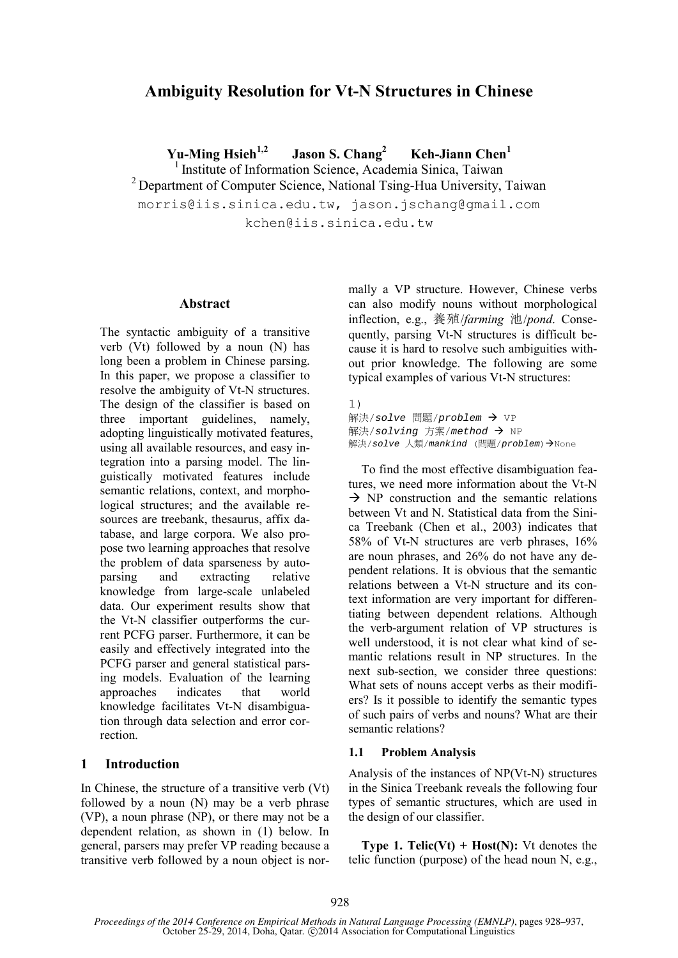# **Ambiguity Resolution for Vt-N Structures in Chinese**

**Yu-Ming Hsieh1,2 Jason S. Chang2** Keh-Jiann Chen<sup>1</sup> <sup>1</sup> Institute of Information Science, Academia Sinica, Taiwan <sup>2</sup> Department of Computer Science, National Tsing-Hua University, Taiwan morris@iis.sinica.edu.tw, jason.jschang@gmail.com kchen@iis.sinica.edu.tw

#### **Abstract**

The syntactic ambiguity of a transitive verb (Vt) followed by a noun (N) has long been a problem in Chinese parsing. In this paper, we propose a classifier to resolve the ambiguity of Vt-N structures. The design of the classifier is based on three important guidelines, namely, adopting linguistically motivated features, using all available resources, and easy integration into a parsing model. The linguistically motivated features include semantic relations, context, and morphological structures; and the available resources are treebank, thesaurus, affix database, and large corpora. We also propose two learning approaches that resolve the problem of data sparseness by autoparsing and extracting relative knowledge from large-scale unlabeled data. Our experiment results show that the Vt-N classifier outperforms the current PCFG parser. Furthermore, it can be easily and effectively integrated into the PCFG parser and general statistical parsing models. Evaluation of the learning approaches indicates that world knowledge facilitates Vt-N disambiguation through data selection and error correction.

### **1 Introduction**

In Chinese, the structure of a transitive verb (Vt) followed by a noun (N) may be a verb phrase (VP), a noun phrase (NP), or there may not be a dependent relation, as shown in (1) below. In general, parsers may prefer VP reading because a transitive verb followed by a noun object is normally a VP structure. However, Chinese verbs can also modify nouns without morphological inflection, e.g., 養殖/*farming* 池/*pond*. Consequently, parsing Vt-N structures is difficult because it is hard to resolve such ambiguities without prior knowledge. The following are some typical examples of various Vt-N structures:

1) 解決/*solve* 問題/*problem* VP 解決/*solving* 方案/*method* NP 解決/solve 人類/mankind (問題/problem)→None

To find the most effective disambiguation features, we need more information about the Vt-N  $\rightarrow$  NP construction and the semantic relations between Vt and N. Statistical data from the Sinica Treebank (Chen et al., 2003) indicates that 58% of Vt-N structures are verb phrases, 16% are noun phrases, and 26% do not have any dependent relations. It is obvious that the semantic relations between a Vt-N structure and its context information are very important for differentiating between dependent relations. Although the verb-argument relation of VP structures is well understood, it is not clear what kind of semantic relations result in NP structures. In the next sub-section, we consider three questions: What sets of nouns accept verbs as their modifiers? Is it possible to identify the semantic types of such pairs of verbs and nouns? What are their semantic relations?

#### **1.1 Problem Analysis**

Analysis of the instances of NP(Vt-N) structures in the Sinica Treebank reveals the following four types of semantic structures, which are used in the design of our classifier.

**Type 1. Telic(Vt) + Host(N):** Vt denotes the telic function (purpose) of the head noun N, e.g.,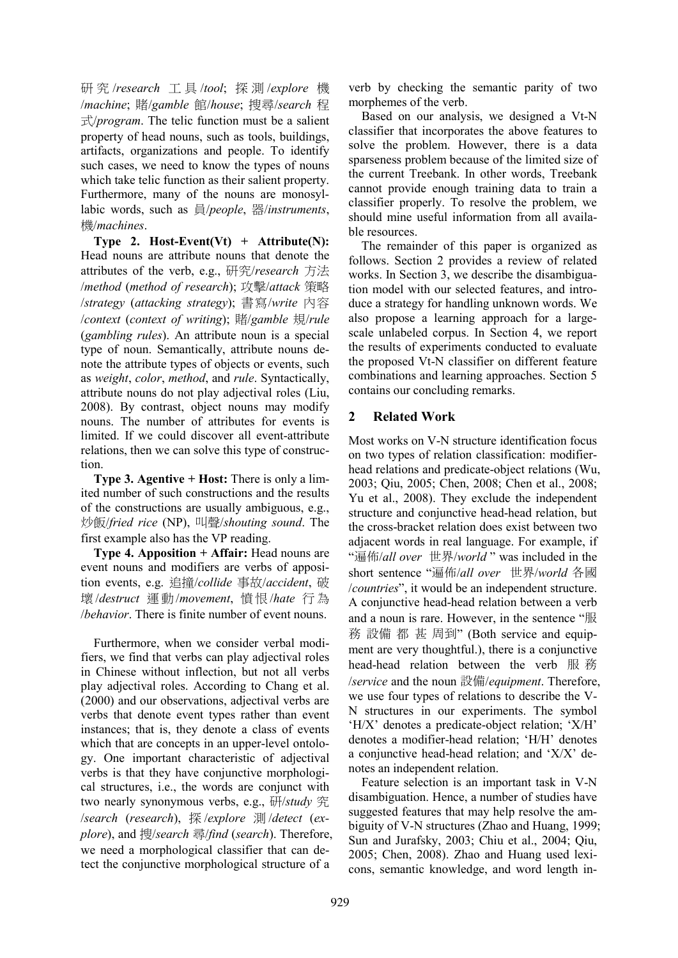研 究 /*research* 工 具 /*tool*; 探 測 /*explore* 機 /*machine*; 賭/*gamble* 館/*house*; 搜尋/*search* 程 式/*program*. The telic function must be a salient property of head nouns, such as tools, buildings, artifacts, organizations and people. To identify such cases, we need to know the types of nouns which take telic function as their salient property. Furthermore, many of the nouns are monosyllabic words, such as 員/*people*, 器/*instruments*, 機/*machines*.

**Type 2. Host-Event(Vt) + Attribute(N):** Head nouns are attribute nouns that denote the attributes of the verb, e.g., 研究/*research* 方法 /*method* (*method of research*); 攻擊/*attack* 策略 /*strategy* (*attacking strategy*); 書寫/*write* 內容 /*context* (*context of writing*); 賭/*gamble* 規/*rule* (*gambling rules*). An attribute noun is a special type of noun. Semantically, attribute nouns denote the attribute types of objects or events, such as *weight*, *color*, *method*, and *rule*. Syntactically, attribute nouns do not play adjectival roles (Liu, 2008). By contrast, object nouns may modify nouns. The number of attributes for events is limited. If we could discover all event-attribute relations, then we can solve this type of construction.

**Type 3. Agentive + Host:** There is only a limited number of such constructions and the results of the constructions are usually ambiguous, e.g., 炒飯/*fried rice* (NP), 叫聲/*shouting sound*. The first example also has the VP reading.

**Type 4. Apposition + Affair:** Head nouns are event nouns and modifiers are verbs of apposition events, e.g. 追撞/*collide* 事故/*accident*, 破 壞 /*destruct* 運 動/*movement*, 憤 恨/*hate* 行 為 /*behavior*. There is finite number of event nouns.

Furthermore, when we consider verbal modifiers, we find that verbs can play adjectival roles in Chinese without inflection, but not all verbs play adjectival roles. According to Chang et al. (2000) and our observations, adjectival verbs are verbs that denote event types rather than event instances; that is, they denote a class of events which that are concepts in an upper-level ontology. One important characteristic of adjectival verbs is that they have conjunctive morphological structures, i.e., the words are conjunct with two nearly synonymous verbs, e.g., 研/*study* 究 /*search* (*research*), 探 /*explore* 測 /*detect* (*explore*), and 搜/*search* 尋/*find* (*search*). Therefore, we need a morphological classifier that can detect the conjunctive morphological structure of a

verb by checking the semantic parity of two morphemes of the verb.

Based on our analysis, we designed a Vt-N classifier that incorporates the above features to solve the problem. However, there is a data sparseness problem because of the limited size of the current Treebank. In other words, Treebank cannot provide enough training data to train a classifier properly. To resolve the problem, we should mine useful information from all available resources.

The remainder of this paper is organized as follows. Section 2 provides a review of related works. In Section 3, we describe the disambiguation model with our selected features, and introduce a strategy for handling unknown words. We also propose a learning approach for a largescale unlabeled corpus. In Section 4, we report the results of experiments conducted to evaluate the proposed Vt-N classifier on different feature combinations and learning approaches. Section 5 contains our concluding remarks.

# **2 Related Work**

Most works on V-N structure identification focus on two types of relation classification: modifierhead relations and predicate-object relations (Wu, 2003; Qiu, 2005; Chen, 2008; Chen et al., 2008; Yu et al., 2008). They exclude the independent structure and conjunctive head-head relation, but the cross-bracket relation does exist between two adjacent words in real language. For example, if "遍佈/*all over* 世界/*world* " was included in the short sentence "遍佈/*all over* 世界/*world* 各國 /*countries*", it would be an independent structure. A conjunctive head-head relation between a verb and a noun is rare. However, in the sentence "服 務 設備 都 甚 周到" (Both service and equipment are very thoughtful.), there is a conjunctive head-head relation between the verb 服 務 /*service* and the noun 設備/*equipment*. Therefore, we use four types of relations to describe the V-N structures in our experiments. The symbol 'H/X' denotes a predicate-object relation; 'X/H' denotes a modifier-head relation; 'H/H' denotes a conjunctive head-head relation; and 'X/X' denotes an independent relation.

Feature selection is an important task in V-N disambiguation. Hence, a number of studies have suggested features that may help resolve the ambiguity of V-N structures (Zhao and Huang, 1999; Sun and Jurafsky, 2003; Chiu et al., 2004; Qiu, 2005; Chen, 2008). Zhao and Huang used lexicons, semantic knowledge, and word length in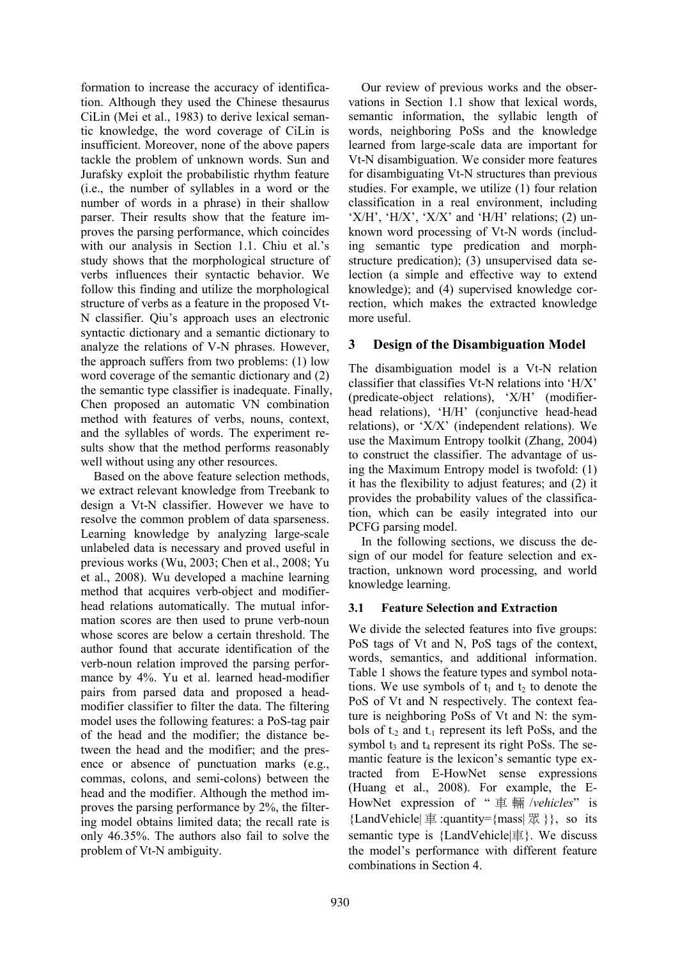formation to increase the accuracy of identification. Although they used the Chinese thesaurus CiLin (Mei et al., 1983) to derive lexical semantic knowledge, the word coverage of CiLin is insufficient. Moreover, none of the above papers tackle the problem of unknown words. Sun and Jurafsky exploit the probabilistic rhythm feature (i.e., the number of syllables in a word or the number of words in a phrase) in their shallow parser. Their results show that the feature improves the parsing performance, which coincides with our analysis in Section 1.1. Chiu et al.'s study shows that the morphological structure of verbs influences their syntactic behavior. We follow this finding and utilize the morphological structure of verbs as a feature in the proposed Vt-N classifier. Qiu's approach uses an electronic syntactic dictionary and a semantic dictionary to analyze the relations of V-N phrases. However, the approach suffers from two problems: (1) low word coverage of the semantic dictionary and (2) the semantic type classifier is inadequate. Finally, Chen proposed an automatic VN combination method with features of verbs, nouns, context, and the syllables of words. The experiment results show that the method performs reasonably well without using any other resources.

Based on the above feature selection methods, we extract relevant knowledge from Treebank to design a Vt-N classifier. However we have to resolve the common problem of data sparseness. Learning knowledge by analyzing large-scale unlabeled data is necessary and proved useful in previous works (Wu, 2003; Chen et al., 2008; Yu et al., 2008). Wu developed a machine learning method that acquires verb-object and modifierhead relations automatically. The mutual information scores are then used to prune verb-noun whose scores are below a certain threshold. The author found that accurate identification of the verb-noun relation improved the parsing performance by 4%. Yu et al. learned head-modifier pairs from parsed data and proposed a headmodifier classifier to filter the data. The filtering model uses the following features: a PoS-tag pair of the head and the modifier; the distance between the head and the modifier; and the presence or absence of punctuation marks (e.g., commas, colons, and semi-colons) between the head and the modifier. Although the method improves the parsing performance by 2%, the filtering model obtains limited data; the recall rate is only 46.35%. The authors also fail to solve the problem of Vt-N ambiguity.

Our review of previous works and the observations in Section 1.1 show that lexical words, semantic information, the syllabic length of words, neighboring PoSs and the knowledge learned from large-scale data are important for Vt-N disambiguation. We consider more features for disambiguating Vt-N structures than previous studies. For example, we utilize (1) four relation classification in a real environment, including 'X/H', 'H/X', 'X/X' and 'H/H' relations;  $(2)$  unknown word processing of Vt-N words (including semantic type predication and morphstructure predication); (3) unsupervised data selection (a simple and effective way to extend knowledge); and (4) supervised knowledge correction, which makes the extracted knowledge more useful.

# **3 Design of the Disambiguation Model**

The disambiguation model is a Vt-N relation classifier that classifies Vt-N relations into 'H/X' (predicate-object relations), 'X/H' (modifierhead relations), 'H/H' (conjunctive head-head relations), or 'X/X' (independent relations). We use the Maximum Entropy toolkit (Zhang, 2004) to construct the classifier. The advantage of using the Maximum Entropy model is twofold: (1) it has the flexibility to adjust features; and (2) it provides the probability values of the classification, which can be easily integrated into our PCFG parsing model.

In the following sections, we discuss the design of our model for feature selection and extraction, unknown word processing, and world knowledge learning.

## **3.1 Feature Selection and Extraction**

We divide the selected features into five groups: PoS tags of Vt and N, PoS tags of the context, words, semantics, and additional information. Table 1 shows the feature types and symbol notations. We use symbols of  $t_1$  and  $t_2$  to denote the PoS of Vt and N respectively. The context feature is neighboring PoSs of Vt and N: the symbols of  $t_2$  and  $t_1$  represent its left PoSs, and the symbol  $t_3$  and  $t_4$  represent its right PoSs. The semantic feature is the lexicon's semantic type extracted from E-HowNet sense expressions (Huang et al., 2008). For example, the E-HowNet expression of " 車 輛 /*vehicles*" is {LandVehicle  $\equiv$  :quantity={mass  $\mathbb{R}$  }}, so its semantic type is {LandVehicle|車}. We discuss the model's performance with different feature combinations in Section 4.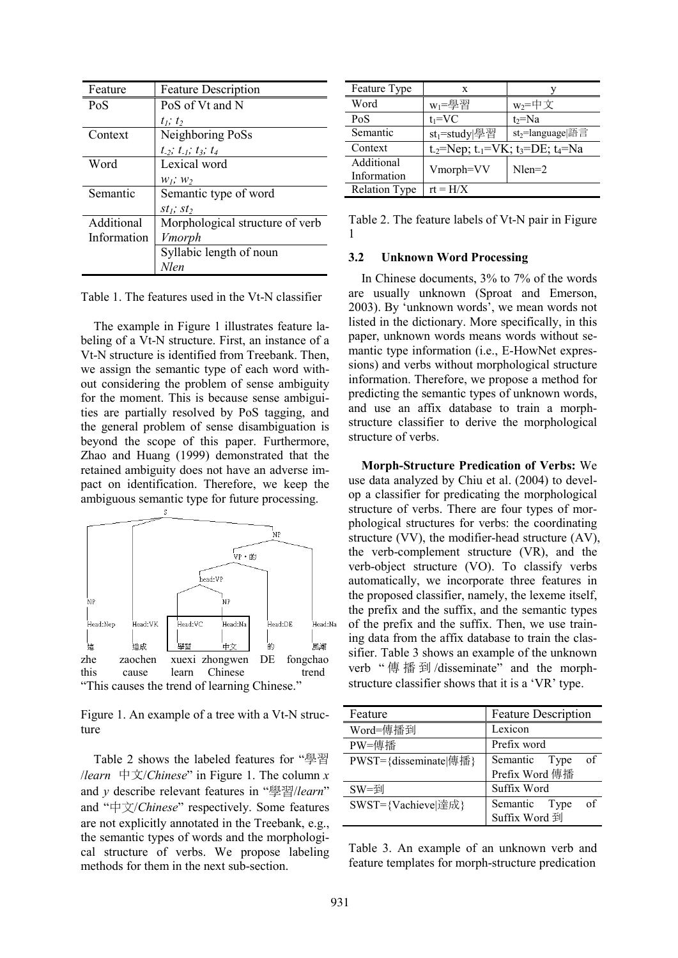| Feature     | <b>Feature Description</b>          |
|-------------|-------------------------------------|
| PoS         | PoS of Vt and N                     |
|             | $t_1$ ; $t_2$                       |
| Context     | Neighboring PoSs                    |
|             | $t_{-2}$ ; $t_{-1}$ ; $t_3$ ; $t_4$ |
| Word        | Lexical word                        |
|             | $W_1$ ; $W_2$                       |
| Semantic    | Semantic type of word               |
|             | $st_1$ ; $st_2$                     |
| Additional  | Morphological structure of verb     |
| Information | Vmorph                              |
|             | Syllabic length of noun             |
|             | <b>Nlen</b>                         |

Table 1. The features used in the Vt-N classifier

The example in Figure 1 illustrates feature labeling of a Vt-N structure. First, an instance of a Vt-N structure is identified from Treebank. Then, we assign the semantic type of each word without considering the problem of sense ambiguity for the moment. This is because sense ambiguities are partially resolved by PoS tagging, and the general problem of sense disambiguation is beyond the scope of this paper. Furthermore, Zhao and Huang (1999) demonstrated that the retained ambiguity does not have an adverse impact on identification. Therefore, we keep the ambiguous semantic type for future processing.



Figure 1. An example of a tree with a Vt-N structure

Table 2 shows the labeled features for "學習 /*learn* 中文/*Chinese*" in Figure 1. The column *x* and *y* describe relevant features in "學習/*learn*" and "中文/*Chinese*" respectively. Some features are not explicitly annotated in the Treebank, e.g., the semantic types of words and the morphological structure of verbs. We propose labeling methods for them in the next sub-section.

| Feature Type              | X                         |                                                                                   |
|---------------------------|---------------------------|-----------------------------------------------------------------------------------|
| Word                      | $W_1 = \frac{100}{2}$ 習   | $w_2 = \pm \chi$                                                                  |
| PoS                       | $t_1 = VC$                | $t_2 = Na$                                                                        |
| Semantic                  | st <sub>1</sub> =study 學習 | st <sub>2</sub> =language 語言                                                      |
| Context                   |                           | t <sub>-2</sub> =Nep; t <sub>-1</sub> =VK; t <sub>3</sub> =DE; t <sub>4</sub> =Na |
| Additional<br>Information | Vmorph=VV                 | $Nlen=2$                                                                          |
| <b>Relation Type</b>      | $rt = H/X$                |                                                                                   |

Table 2. The feature labels of Vt-N pair in Figure 1

#### **3.2 Unknown Word Processing**

In Chinese documents, 3% to 7% of the words are usually unknown (Sproat and Emerson, 2003). By 'unknown words', we mean words not listed in the dictionary. More specifically, in this paper, unknown words means words without semantic type information (i.e., E-HowNet expressions) and verbs without morphological structure information. Therefore, we propose a method for predicting the semantic types of unknown words, and use an affix database to train a morphstructure classifier to derive the morphological structure of verbs.

**Morph-Structure Predication of Verbs:** We use data analyzed by Chiu et al. (2004) to develop a classifier for predicating the morphological structure of verbs. There are four types of morphological structures for verbs: the coordinating structure (VV), the modifier-head structure (AV), the verb-complement structure (VR), and the verb-object structure (VO). To classify verbs automatically, we incorporate three features in the proposed classifier, namely, the lexeme itself, the prefix and the suffix, and the semantic types of the prefix and the suffix. Then, we use training data from the affix database to train the classifier. Table 3 shows an example of the unknown verb "傳播到/disseminate" and the morphstructure classifier shows that it is a 'VR' type.

| Feature                                       | <b>Feature Description</b> |  |  |
|-----------------------------------------------|----------------------------|--|--|
| Word=傳播到                                      | Lexicon                    |  |  |
| PW=俥播                                         | Prefix word                |  |  |
| $PWST = \{disseminate   \nexists \nexists \}$ | Semantic Type<br>οf        |  |  |
|                                               | Prefix Word 傳播             |  |  |
| $SW = \frac{1}{2}$                            | Suffix Word                |  |  |
| SWST={Vachieve 達成}                            | Semantic Type<br>οf        |  |  |
|                                               | Suffix Word 到              |  |  |

Table 3. An example of an unknown verb and feature templates for morph-structure predication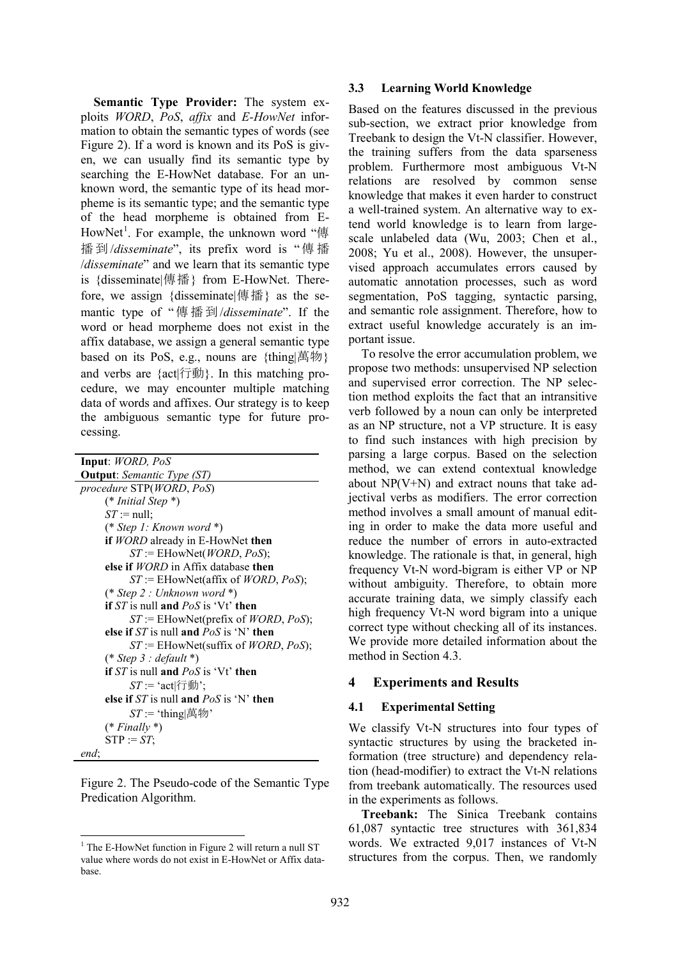**Semantic Type Provider:** The system exploits *WORD*, *PoS*, *affix* and *E-HowNet* information to obtain the semantic types of words (see Figure 2). If a word is known and its PoS is given, we can usually find its semantic type by searching the E-HowNet database. For an unknown word, the semantic type of its head morpheme is its semantic type; and the semantic type of the head morpheme is obtained from E-HowNet<sup>1</sup>. For example, the unknown word "傳 播 到 /*disseminate*", its prefix word is " 傳 播 /*disseminate*" and we learn that its semantic type is {disseminate|傳播} from E-HowNet. Therefore, we assign {disseminate|傳播} as the semantic type of "傳播到/*disseminate*". If the word or head morpheme does not exist in the affix database, we assign a general semantic type based on its PoS, e.g., nouns are {thing|萬物} and verbs are {act|行動}. In this matching procedure, we may encounter multiple matching data of words and affixes. Our strategy is to keep the ambiguous semantic type for future processing.

| Input: WORD, PoS                                      |
|-------------------------------------------------------|
| <b>Output</b> : Semantic Type (ST)                    |
| procedure STP(WORD, PoS)                              |
| $(* Initial Step *)$                                  |
| $ST := null$ ;                                        |
| $(*$ Step 1: Known word $*)$                          |
| if WORD already in E-HowNet then                      |
| $ST :=$ EHowNet( <i>WORD</i> , <i>PoS</i> );          |
| else if <i>WORD</i> in Affix database then            |
| $ST$ := EHowNet(affix of <i>WORD</i> , <i>PoS</i> );  |
| $(*$ Step 2 : Unknown word $*)$                       |
| <b>if</b> ST is null and $PoS$ is 'Vt' then           |
| $ST$ := EHowNet(prefix of <i>WORD</i> , <i>PoS</i> ); |
| else if $ST$ is null and $PoS$ is 'N' then            |
| $ST$ := EHowNet(suffix of <i>WORD</i> , <i>PoS</i> ); |
| $(*$ Step 3 : default $*)$                            |
| if $ST$ is null and $PoS$ is 'Vt' then                |
| $ST = \text{`act}$ (行動';                              |
| else if $ST$ is null and $PoS$ is 'N' then            |
| $ST = 'thing \nexists \nexists \nexists$              |
| $(* Finally*)$                                        |
| $STP := ST;$                                          |
| end:                                                  |

Figure 2. The Pseudo-code of the Semantic Type Predication Algorithm.

### **3.3 Learning World Knowledge**

Based on the features discussed in the previous sub-section, we extract prior knowledge from Treebank to design the Vt-N classifier. However, the training suffers from the data sparseness problem. Furthermore most ambiguous Vt-N relations are resolved by common sense knowledge that makes it even harder to construct a well-trained system. An alternative way to extend world knowledge is to learn from largescale unlabeled data (Wu, 2003; Chen et al., 2008; Yu et al., 2008). However, the unsupervised approach accumulates errors caused by automatic annotation processes, such as word segmentation, PoS tagging, syntactic parsing, and semantic role assignment. Therefore, how to extract useful knowledge accurately is an important issue.

To resolve the error accumulation problem, we propose two methods: unsupervised NP selection and supervised error correction. The NP selection method exploits the fact that an intransitive verb followed by a noun can only be interpreted as an NP structure, not a VP structure. It is easy to find such instances with high precision by parsing a large corpus. Based on the selection method, we can extend contextual knowledge about NP(V+N) and extract nouns that take adjectival verbs as modifiers. The error correction method involves a small amount of manual editing in order to make the data more useful and reduce the number of errors in auto-extracted knowledge. The rationale is that, in general, high frequency Vt-N word-bigram is either VP or NP without ambiguity. Therefore, to obtain more accurate training data, we simply classify each high frequency Vt-N word bigram into a unique correct type without checking all of its instances. We provide more detailed information about the method in Section 4.3.

## **4 Experiments and Results**

### **4.1 Experimental Setting**

We classify Vt-N structures into four types of syntactic structures by using the bracketed information (tree structure) and dependency relation (head-modifier) to extract the Vt-N relations from treebank automatically. The resources used in the experiments as follows.

**Treebank:** The Sinica Treebank contains 61,087 syntactic tree structures with 361,834 words. We extracted 9,017 instances of Vt-N structures from the corpus. Then, we randomly

 $<sup>1</sup>$  The E-HowNet function in Figure 2 will return a null ST</sup> value where words do not exist in E-HowNet or Affix database.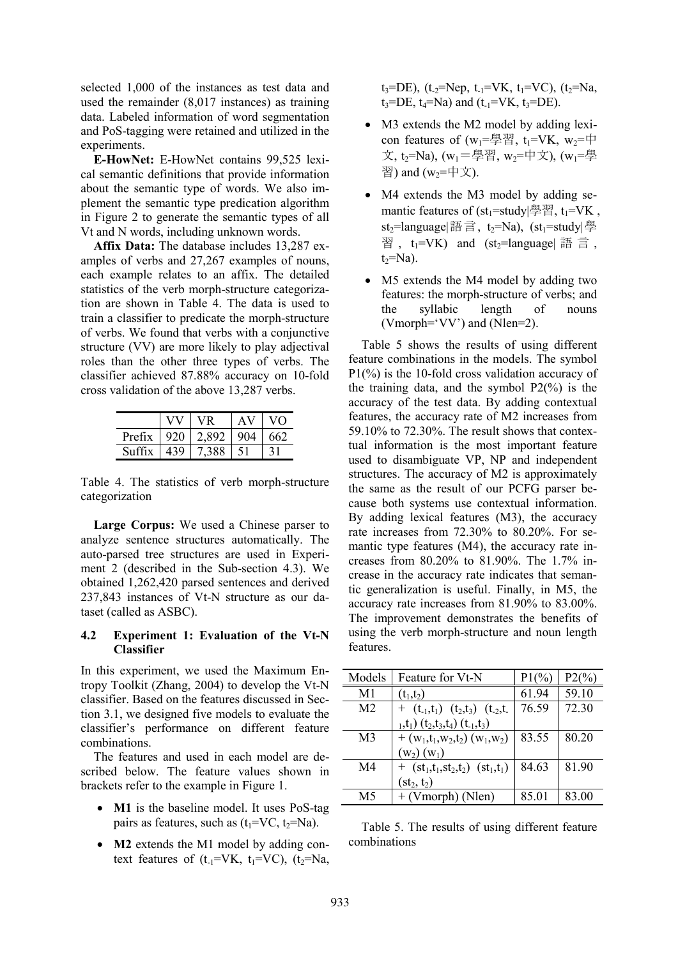selected 1,000 of the instances as test data and used the remainder (8,017 instances) as training data. Labeled information of word segmentation and PoS-tagging were retained and utilized in the experiments.

**E-HowNet:** E-HowNet contains 99,525 lexical semantic definitions that provide information about the semantic type of words. We also implement the semantic type predication algorithm in Figure 2 to generate the semantic types of all Vt and N words, including unknown words.

**Affix Data:** The database includes 13,287 examples of verbs and 27,267 examples of nouns, each example relates to an affix. The detailed statistics of the verb morph-structure categorization are shown in Table 4. The data is used to train a classifier to predicate the morph-structure of verbs. We found that verbs with a conjunctive structure (VV) are more likely to play adjectival roles than the other three types of verbs. The classifier achieved 87.88% accuracy on 10-fold cross validation of the above 13,287 verbs.

| Prefix | 920 | : 892        | 562. |
|--------|-----|--------------|------|
|        |     | $38^{\circ}$ |      |

Table 4. The statistics of verb morph-structure categorization

**Large Corpus:** We used a Chinese parser to analyze sentence structures automatically. The auto-parsed tree structures are used in Experiment 2 (described in the Sub-section 4.3). We obtained 1,262,420 parsed sentences and derived 237,843 instances of Vt-N structure as our dataset (called as ASBC).

### **4.2 Experiment 1: Evaluation of the Vt-N Classifier**

In this experiment, we used the Maximum Entropy Toolkit (Zhang, 2004) to develop the Vt-N classifier. Based on the features discussed in Section 3.1, we designed five models to evaluate the classifier's performance on different feature combinations.

The features and used in each model are described below. The feature values shown in brackets refer to the example in Figure 1.

- **M1** is the baseline model. It uses PoS-tag pairs as features, such as  $(t_1=VC, t_2=Na)$ .
- **M2** extends the M1 model by adding context features of  $(t_1=VK, t_1=VC)$ ,  $(t_2=Na,$

 $t_3 = DE$ ), ( $t_2 = Nep$ ,  $t_1 = VK$ ,  $t_1 = VC$ ), ( $t_2 = Na$ ,  $t_3 = DE$ ,  $t_4 = Na$ ) and  $(t_{-1} = VK, t_3 = DE)$ .

- M3 extends the M2 model by adding lexicon features of  $(w_1 = \frac{m}{2})$ ,  $t_1 = VK, w_2 = \frac{m}{2}$ 文, t<sub>2</sub>=Na), (w<sub>1</sub>=學習, w<sub>2</sub>=中文), (w<sub>1</sub>=學 習) and  $(w_2=$  $\uparrow \uparrow \uparrow)$ .
- M4 extends the M3 model by adding semantic features of  $(st_1=stdy|\nvert\frac{3\pi}{2})$ ,  $t_1=VK$ , st<sub>2</sub>=language|語言, t<sub>2</sub>=Na), (st<sub>1</sub>=study|學 習,  $t_1=VK$ ) and (st<sub>2</sub>=language| 語言,  $t<sub>2</sub>=Na$ ).
- M5 extends the M4 model by adding two features: the morph-structure of verbs; and the syllabic length of nouns (Vmorph='VV') and (Nlen=2).

Table 5 shows the results of using different feature combinations in the models. The symbol  $P1(\%)$  is the 10-fold cross validation accuracy of the training data, and the symbol  $P2(\%)$  is the accuracy of the test data. By adding contextual features, the accuracy rate of M2 increases from 59.10% to 72.30%. The result shows that contextual information is the most important feature used to disambiguate VP, NP and independent structures. The accuracy of M2 is approximately the same as the result of our PCFG parser because both systems use contextual information. By adding lexical features (M3), the accuracy rate increases from 72.30% to 80.20%. For semantic type features (M4), the accuracy rate increases from 80.20% to 81.90%. The 1.7% increase in the accuracy rate indicates that semantic generalization is useful. Finally, in M5, the accuracy rate increases from 81.90% to 83.00%. The improvement demonstrates the benefits of using the verb morph-structure and noun length features.

| Models         | Feature for Vt-N                                                                                   | $P1(\%)$ | $P2(^{0}/_{0})$ |
|----------------|----------------------------------------------------------------------------------------------------|----------|-----------------|
| M1             | $(t_1,t_2)$                                                                                        | 61.94    | 59.10           |
| M <sub>2</sub> | + $(t_{-1},t_1)$ $(t_2,t_3)$ $(t_{-2},t_1)$                                                        | 76.59    | 72.30           |
|                | $_{1},t_{1})$ (t <sub>2</sub> ,t <sub>3</sub> ,t <sub>4</sub> ) (t <sub>-1</sub> ,t <sub>3</sub> ) |          |                 |
| M <sub>3</sub> | + $(w_1,t_1,w_2,t_2)$ $(w_1,w_2)$                                                                  | 83.55    | 80.20           |
|                | $(w_2)(w_1)$                                                                                       |          |                 |
| M4             | + $(st_1, t_1, st_2, t_2)$ $(st_1, t_1)$                                                           | 84.63    | 8190            |
|                | $(st_2, t_2)$                                                                                      |          |                 |
| M5             | $+$ (Vmorph) (Nlen)                                                                                | 85.01    | 83.00           |

Table 5. The results of using different feature combinations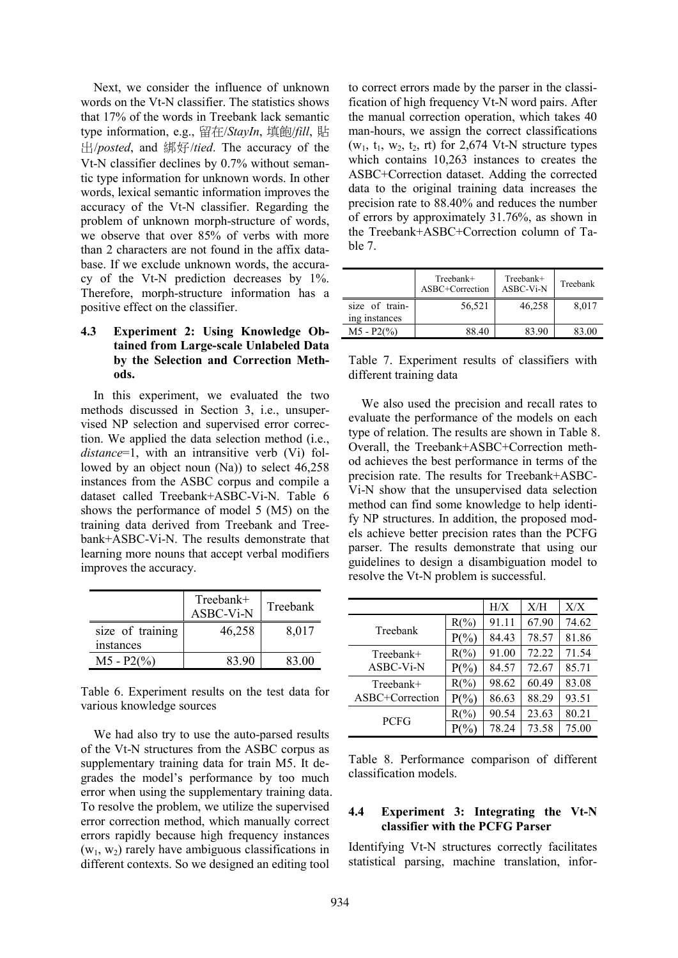Next, we consider the influence of unknown words on the Vt-N classifier. The statistics shows that 17% of the words in Treebank lack semantic type information, e.g., 留在/*StayIn*, 填飽/*fill*, 貼 出/*posted*, and 綁好/*tied*. The accuracy of the Vt-N classifier declines by 0.7% without semantic type information for unknown words. In other words, lexical semantic information improves the accuracy of the Vt-N classifier. Regarding the problem of unknown morph-structure of words, we observe that over 85% of verbs with more than 2 characters are not found in the affix database. If we exclude unknown words, the accuracy of the Vt-N prediction decreases by 1%. Therefore, morph-structure information has a positive effect on the classifier.

### **4.3 Experiment 2: Using Knowledge Obtained from Large-scale Unlabeled Data by the Selection and Correction Methods.**

In this experiment, we evaluated the two methods discussed in Section 3, i.e., unsupervised NP selection and supervised error correction. We applied the data selection method (i.e., *distance*=1, with an intransitive verb (Vi) followed by an object noun (Na)) to select 46,258 instances from the ASBC corpus and compile a dataset called Treebank+ASBC-Vi-N. Table 6 shows the performance of model 5 (M5) on the training data derived from Treebank and Treebank+ASBC-Vi-N. The results demonstrate that learning more nouns that accept verbal modifiers improves the accuracy.

|                  | Treebank+<br>ASBC-Vi-N | Treebank |
|------------------|------------------------|----------|
| size of training | 46,258                 | 8,017    |
| instances        |                        |          |
| $M5 - P2(%$      | 83.90                  | 83.00    |

Table 6. Experiment results on the test data for various knowledge sources

We had also try to use the auto-parsed results of the Vt-N structures from the ASBC corpus as supplementary training data for train M5. It degrades the model's performance by too much error when using the supplementary training data. To resolve the problem, we utilize the supervised error correction method, which manually correct errors rapidly because high frequency instances  $(w_1, w_2)$  rarely have ambiguous classifications in different contexts. So we designed an editing tool

to correct errors made by the parser in the classification of high frequency Vt-N word pairs. After the manual correction operation, which takes 40 man-hours, we assign the correct classifications  $(w_1, t_1, w_2, t_2, r)$  for 2,674 Vt-N structure types which contains 10,263 instances to creates the ASBC+Correction dataset. Adding the corrected data to the original training data increases the precision rate to 88.40% and reduces the number of errors by approximately 31.76%, as shown in the Treebank+ASBC+Correction column of Table 7.

|                                 | Treebank+<br>ASBC+Correction | Treebank+<br>ASBC-Vi-N | Treebank |
|---------------------------------|------------------------------|------------------------|----------|
| size of train-<br>ing instances | 56,521                       | 46,258                 | 8.017    |
| $M5 - P2(%)$                    | 88.40                        | 83.90                  | 83.00    |

Table 7. Experiment results of classifiers with different training data

We also used the precision and recall rates to evaluate the performance of the models on each type of relation. The results are shown in Table 8. Overall, the Treebank+ASBC+Correction method achieves the best performance in terms of the precision rate. The results for Treebank+ASBC-Vi-N show that the unsupervised data selection method can find some knowledge to help identify NP structures. In addition, the proposed models achieve better precision rates than the PCFG parser. The results demonstrate that using our guidelines to design a disambiguation model to resolve the Vt-N problem is successful.

|                 |          | H/X   | X/H   | X/X   |
|-----------------|----------|-------|-------|-------|
|                 | $R(\% )$ | 91.11 | 67.90 | 74.62 |
| Treebank        | $P(\% )$ | 84.43 | 78.57 | 81.86 |
| Treebank+       | $R(\%)$  | 91.00 | 72.22 | 71.54 |
| ASBC-Vi-N       | $P(\% )$ | 84.57 | 72.67 | 85.71 |
| Treebank+       | $R(\%)$  | 98.62 | 60.49 | 83.08 |
| ASBC+Correction | $P(\% )$ | 86.63 | 88.29 | 93.51 |
|                 | $R(\%)$  | 90.54 | 23.63 | 80.21 |
| <b>PCFG</b>     | $P(\% )$ | 78.24 | 73.58 | 75.00 |

Table 8. Performance comparison of different classification models.

### **4.4 Experiment 3: Integrating the Vt-N classifier with the PCFG Parser**

Identifying Vt-N structures correctly facilitates statistical parsing, machine translation, infor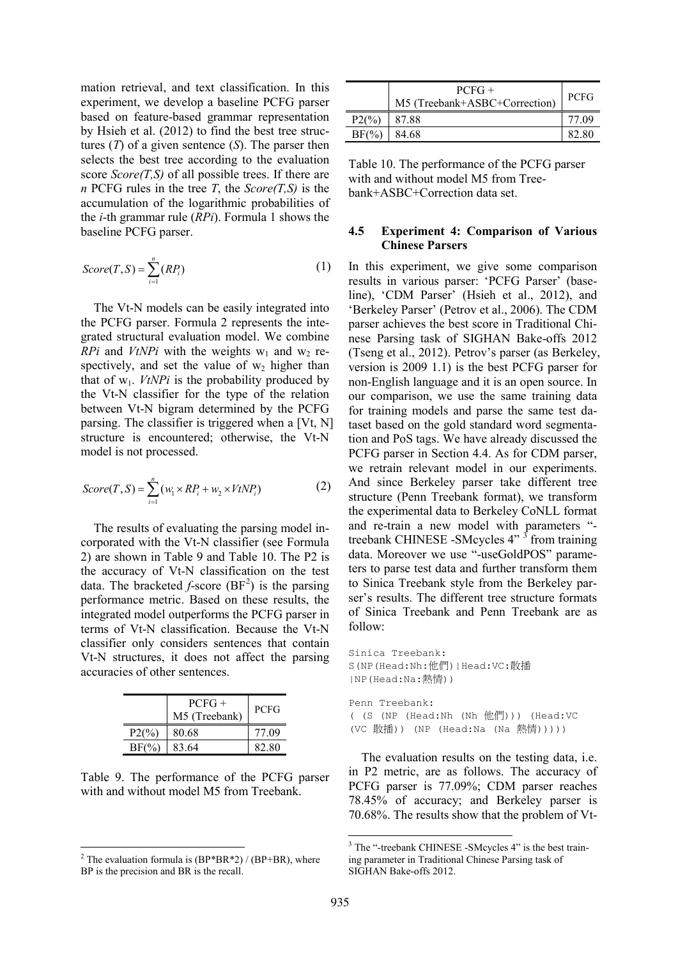mation retrieval, and text classification. In this experiment, we develop a baseline PCFG parser based on feature-based grammar representation by Hsieh et al. (2012) to find the best tree structures (*T*) of a given sentence (*S*). The parser then selects the best tree according to the evaluation score *Score(T,S)* of all possible trees. If there are *n* PCFG rules in the tree *T*, the *Score(T,S)* is the accumulation of the logarithmic probabilities of the *i*-th grammar rule (*RPi*). Formula 1 shows the baseline PCFG parser.

$$
Score(T, S) = \sum_{i=1}^{n} (RP_i)
$$
 (1)

The Vt-N models can be easily integrated into the PCFG parser. Formula 2 represents the integrated structural evaluation model. We combine *RPi* and *VtNPi* with the weights  $w_1$  and  $w_2$  respectively, and set the value of  $w_2$  higher than that of  $w_1$ . *VtNPi* is the probability produced by the Vt-N classifier for the type of the relation between Vt-N bigram determined by the PCFG parsing. The classifier is triggered when a [Vt, N] structure is encountered; otherwise, the Vt-N model is not processed.

$$
Score(T, S) = \sum_{i=1}^{n} (w_i \times RP_i + w_2 \times VtNP_i)
$$
 (2)

The results of evaluating the parsing model incorporated with the Vt-N classifier (see Formula 2) are shown in Table 9 and Table 10. The P2 is the accuracy of Vt-N classification on the test data. The bracketed  $f$ -score  $(BF<sup>2</sup>)$  is the parsing performance metric. Based on these results, the integrated model outperforms the PCFG parser in terms of Vt-N classification. Because the Vt-N classifier only considers sentences that contain Vt-N structures, it does not affect the parsing accuracies of other sentences.

|                 | $PCFG+$<br>M5 (Treebank) | <b>PCFG</b> |
|-----------------|--------------------------|-------------|
| $P2\frac{9}{6}$ | 80.68                    | 77.09       |
| $BF(\%)$        | 83.64                    | 82.80       |

Table 9. The performance of the PCFG parser with and without model M5 from Treebank.

|                  | $PCFG+$<br>M5 (Treebank+ASBC+Correction) | <b>PCFG</b> |
|------------------|------------------------------------------|-------------|
| $P2\binom{9}{0}$ | 87.88                                    | 77.09       |
| $BF(\%)$         | 84 68                                    | 82.80       |

Table 10. The performance of the PCFG parser with and without model M5 from Treebank+ASBC+Correction data set.

### **4.5 Experiment 4: Comparison of Various Chinese Parsers**

In this experiment, we give some comparison results in various parser: 'PCFG Parser' (baseline), 'CDM Parser' (Hsieh et al., 2012), and 'Berkeley Parser' (Petrov et al., 2006). The CDM parser achieves the best score in Traditional Chinese Parsing task of SIGHAN Bake-offs 2012 (Tseng et al., 2012). Petrov's parser (as Berkeley, version is 2009 1.1) is the best PCFG parser for non-English language and it is an open source. In our comparison, we use the same training data for training models and parse the same test dataset based on the gold standard word segmentation and PoS tags. We have already discussed the PCFG parser in Section 4.4. As for CDM parser, we retrain relevant model in our experiments. And since Berkeley parser take different tree structure (Penn Treebank format), we transform the experimental data to Berkeley CoNLL format and re-train a new model with parameters " treebank CHINESE -SMcycles  $4"$ <sup> $\frac{3}{2}$ </sup> from training data. Moreover we use "-useGoldPOS" parameters to parse test data and further transform them to Sinica Treebank style from the Berkeley parser's results. The different tree structure formats of Sinica Treebank and Penn Treebank are as follow:

```
Sinica Treebank: 
S(NP(Head:Nh:他們)|Head:VC:散播
|NP(Head:Na:熱情))
```
Penn Treebank: ( (S (NP (Head:Nh (Nh 他們))) (Head:VC (VC 散播)) (NP (Head:Na (Na 熱情)))))

The evaluation results on the testing data, i.e. in P2 metric, are as follows. The accuracy of PCFG parser is 77.09%; CDM parser reaches 78.45% of accuracy; and Berkeley parser is 70.68%. The results show that the problem of Vt-

<sup>&</sup>lt;sup>2</sup> The evaluation formula is  $(BP^*BR^*2) / (BP+BR)$ , where BP is the precision and BR is the recall.

<sup>&</sup>lt;sup>3</sup> The "-treebank CHINESE -SMcycles 4" is the best training parameter in Traditional Chinese Parsing task of SIGHAN Bake-offs 2012.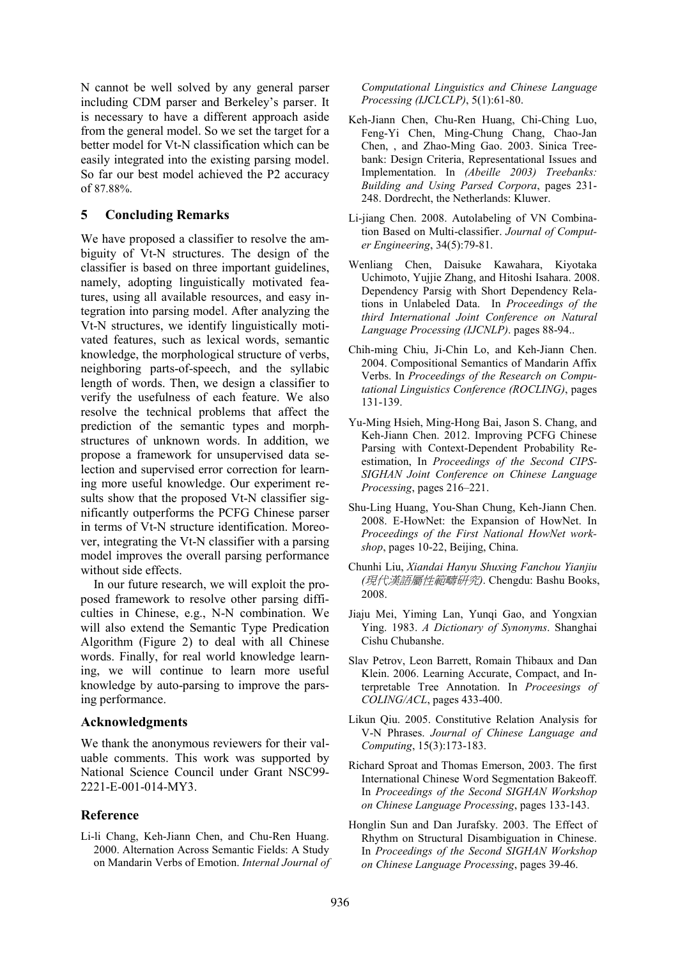N cannot be well solved by any general parser including CDM parser and Berkeley's parser. It is necessary to have a different approach aside from the general model. So we set the target for a better model for Vt-N classification which can be easily integrated into the existing parsing model. So far our best model achieved the P2 accuracy of 87.88%.

### **5 Concluding Remarks**

We have proposed a classifier to resolve the ambiguity of Vt-N structures. The design of the classifier is based on three important guidelines, namely, adopting linguistically motivated features, using all available resources, and easy integration into parsing model. After analyzing the Vt-N structures, we identify linguistically motivated features, such as lexical words, semantic knowledge, the morphological structure of verbs, neighboring parts-of-speech, and the syllabic length of words. Then, we design a classifier to verify the usefulness of each feature. We also resolve the technical problems that affect the prediction of the semantic types and morphstructures of unknown words. In addition, we propose a framework for unsupervised data selection and supervised error correction for learning more useful knowledge. Our experiment results show that the proposed Vt-N classifier significantly outperforms the PCFG Chinese parser in terms of Vt-N structure identification. Moreover, integrating the Vt-N classifier with a parsing model improves the overall parsing performance without side effects.

In our future research, we will exploit the proposed framework to resolve other parsing difficulties in Chinese, e.g., N-N combination. We will also extend the Semantic Type Predication Algorithm (Figure 2) to deal with all Chinese words. Finally, for real world knowledge learning, we will continue to learn more useful knowledge by auto-parsing to improve the parsing performance.

### **Acknowledgments**

We thank the anonymous reviewers for their valuable comments. This work was supported by National Science Council under Grant NSC99- 2221-E-001-014-MY3.

### **Reference**

Li-li Chang, Keh-Jiann Chen, and Chu-Ren Huang. 2000. Alternation Across Semantic Fields: A Study on Mandarin Verbs of Emotion. *Internal Journal of*  *Computational Linguistics and Chinese Language Processing (IJCLCLP)*, 5(1):61-80.

- Keh-Jiann Chen, Chu-Ren Huang, Chi-Ching Luo, Feng-Yi Chen, Ming-Chung Chang, Chao-Jan Chen, , and Zhao-Ming Gao. 2003. Sinica Treebank: Design Criteria, Representational Issues and Implementation. In *(Abeille 2003) Treebanks: Building and Using Parsed Corpora*, pages 231- 248. Dordrecht, the Netherlands: Kluwer.
- Li-jiang Chen. 2008. Autolabeling of VN Combination Based on Multi-classifier. *Journal of Computer Engineering*, 34(5):79-81.
- Wenliang Chen, Daisuke Kawahara, Kiyotaka Uchimoto, Yujjie Zhang, and Hitoshi Isahara. 2008. Dependency Parsig with Short Dependency Relations in Unlabeled Data. In *Proceedings of the third International Joint Conference on Natural Language Processing (IJCNLP)*. pages 88-94..
- Chih-ming Chiu, Ji-Chin Lo, and Keh-Jiann Chen. 2004. Compositional Semantics of Mandarin Affix Verbs. In *Proceedings of the Research on Computational Linguistics Conference (ROCLING)*, pages 131-139.
- Yu-Ming Hsieh, Ming-Hong Bai, Jason S. Chang, and Keh-Jiann Chen. 2012. Improving PCFG Chinese Parsing with Context-Dependent Probability Reestimation, In *Proceedings of the Second CIPS-SIGHAN Joint Conference on Chinese Language Processing*, pages 216–221.
- Shu-Ling Huang, You-Shan Chung, Keh-Jiann Chen. 2008. E-HowNet: the Expansion of HowNet. In *Proceedings of the First National HowNet workshop*, pages 10-22, Beijing, China.
- Chunhi Liu, *Xiandai Hanyu Shuxing Fanchou Yianjiu (*現代漢語屬性範疇研究*)*. Chengdu: Bashu Books, 2008.
- Jiaju Mei, Yiming Lan, Yunqi Gao, and Yongxian Ying. 1983. *A Dictionary of Synonyms*. Shanghai Cishu Chubanshe.
- Slav Petrov, Leon Barrett, Romain Thibaux and Dan Klein. 2006. Learning Accurate, Compact, and Interpretable Tree Annotation. In *Proceesings of COLING/ACL*, pages 433-400.
- Likun Qiu. 2005. Constitutive Relation Analysis for V-N Phrases. *Journal of Chinese Language and Computing*, 15(3):173-183.
- Richard Sproat and Thomas Emerson, 2003. The first International Chinese Word Segmentation Bakeoff. In *Proceedings of the Second SIGHAN Workshop on Chinese Language Processing*, pages 133-143.
- Honglin Sun and Dan Jurafsky. 2003. The Effect of Rhythm on Structural Disambiguation in Chinese. In *Proceedings of the Second SIGHAN Workshop on Chinese Language Processing*, pages 39-46.